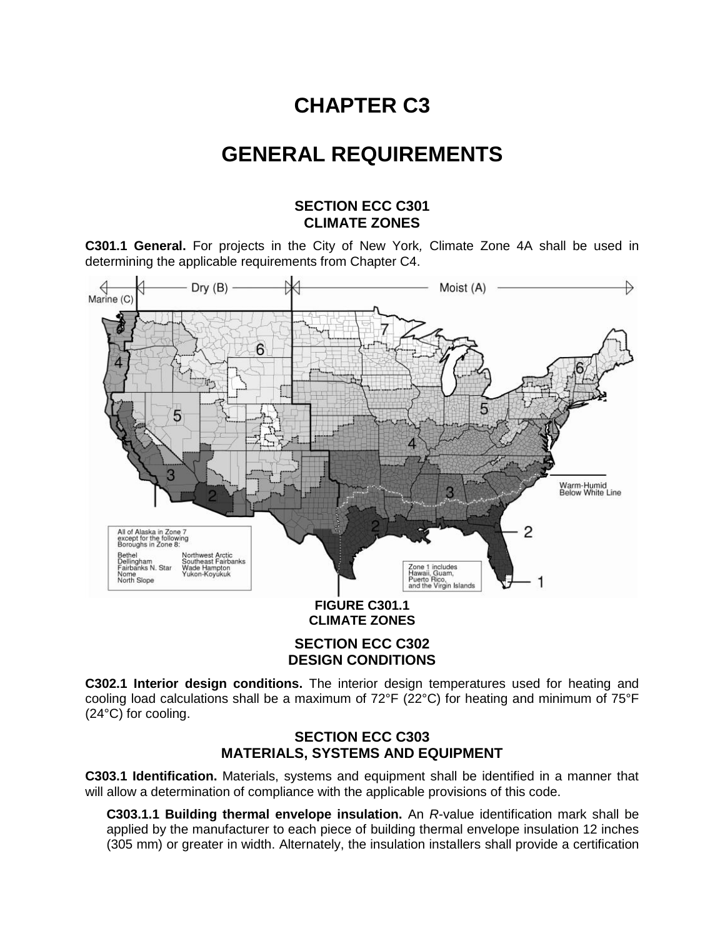# **CHAPTER C3**

# **GENERAL REQUIREMENTS**

## **SECTION ECC C301 CLIMATE ZONES**

**C301.1 General.** For projects in the City of New York*,* Climate Zone 4A shall be used in determining the applicable requirements from Chapter C4.



### **SECTION ECC C302 DESIGN CONDITIONS**

**C302.1 Interior design conditions.** The interior design temperatures used for heating and cooling load calculations shall be a maximum of 72°F (22°C) for heating and minimum of 75°F (24°C) for cooling.

## **SECTION ECC C303 MATERIALS, SYSTEMS AND EQUIPMENT**

**C303.1 Identification.** Materials, systems and equipment shall be identified in a manner that will allow a determination of compliance with the applicable provisions of this code.

**C303.1.1 Building thermal envelope insulation.** An *R*-value identification mark shall be applied by the manufacturer to each piece of building thermal envelope insulation 12 inches (305 mm) or greater in width. Alternately, the insulation installers shall provide a certification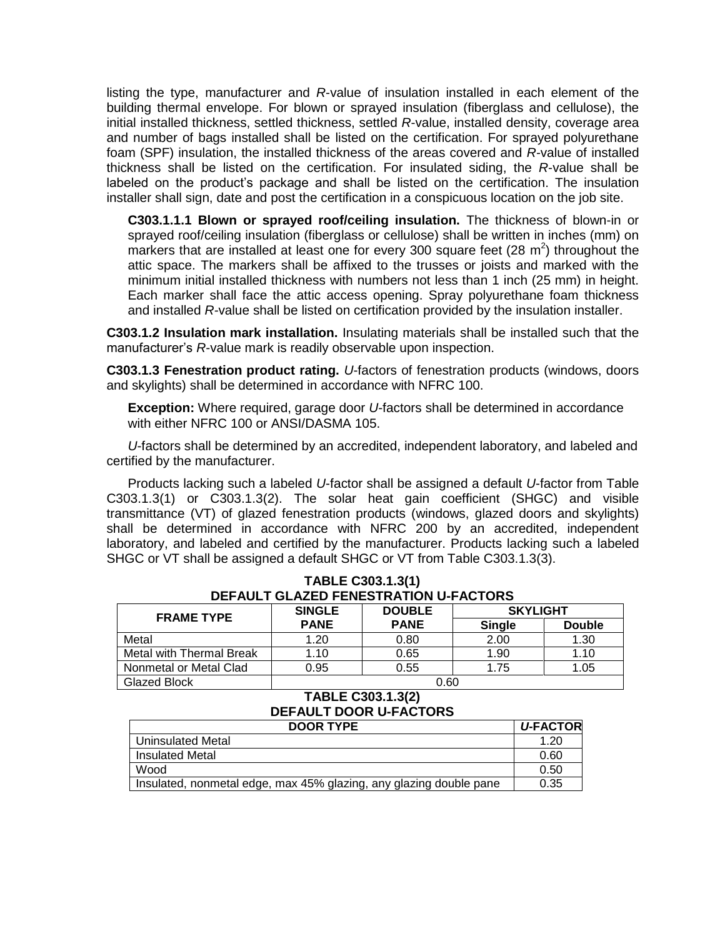listing the type, manufacturer and *R*-value of insulation installed in each element of the building thermal envelope. For blown or sprayed insulation (fiberglass and cellulose), the initial installed thickness, settled thickness, settled *R*-value, installed density, coverage area and number of bags installed shall be listed on the certification. For sprayed polyurethane foam (SPF) insulation, the installed thickness of the areas covered and *R-*value of installed thickness shall be listed on the certification. For insulated siding, the *R*-value shall be labeled on the product's package and shall be listed on the certification. The insulation installer shall sign, date and post the certification in a conspicuous location on the job site.

**C303.1.1.1 Blown or sprayed roof/ceiling insulation.** The thickness of blown-in or sprayed roof/ceiling insulation (fiberglass or cellulose) shall be written in inches (mm) on markers that are installed at least one for every 300 square feet (28  $m^2$ ) throughout the attic space. The markers shall be affixed to the trusses or joists and marked with the minimum initial installed thickness with numbers not less than 1 inch (25 mm) in height. Each marker shall face the attic access opening. Spray polyurethane foam thickness and installed *R-*value shall be listed on certification provided by the insulation installer.

**C303.1.2 Insulation mark installation.** Insulating materials shall be installed such that the manufacturer's *R*-value mark is readily observable upon inspection.

**C303.1.3 Fenestration product rating.** *U*-factors of fenestration products (windows, doors and skylights) shall be determined in accordance with NFRC 100.

**Exception:** Where required, garage door *U*-factors shall be determined in accordance with either NFRC 100 or ANSI/DASMA 105.

*U*-factors shall be determined by an accredited, independent laboratory, and labeled and certified by the manufacturer.

Products lacking such a labeled *U*-factor shall be assigned a default *U*-factor from Table C303.1.3(1) or C303.1.3(2). The solar heat gain coefficient (SHGC) and visible transmittance (VT) of glazed fenestration products (windows, glazed doors and skylights) shall be determined in accordance with NFRC 200 by an accredited, independent laboratory, and labeled and certified by the manufacturer. Products lacking such a labeled SHGC or VT shall be assigned a default SHGC or VT from Table C303.1.3(3).

| DEFAULT GLAZED FENESTRATION U-FAUTURS |               |               |                 |               |  |  |  |  |
|---------------------------------------|---------------|---------------|-----------------|---------------|--|--|--|--|
| <b>FRAME TYPE</b>                     | <b>SINGLE</b> | <b>DOUBLE</b> | <b>SKYLIGHT</b> |               |  |  |  |  |
|                                       | <b>PANE</b>   | <b>PANE</b>   | <b>Single</b>   | <b>Double</b> |  |  |  |  |
| Metal                                 | 1.20          | 0.80          | 2.00            | 1.30          |  |  |  |  |
| Metal with Thermal Break              | 1.10          | 0.65          | 1.90            | 1.10          |  |  |  |  |
| Nonmetal or Metal Clad                | 0.95          | 0.55          | 1.75            | 1.05          |  |  |  |  |
| Glazed Block                          | 0.60          |               |                 |               |  |  |  |  |

#### **TABLE C303.1.3(1) DEFAULT GLAZED FENESTRATION U-FACTORS**

#### **TABLE C303.1.3(2) DEFAULT DOOR U-FACTORS**

| <b>DOOR TYPE</b>                                                   | <b>U-FACTOR</b> |
|--------------------------------------------------------------------|-----------------|
| Uninsulated Metal                                                  | 1.20            |
| <b>Insulated Metal</b>                                             | 0.60            |
| Wood                                                               | 0.50            |
| Insulated, nonmetal edge, max 45% glazing, any glazing double pane | 0.35            |